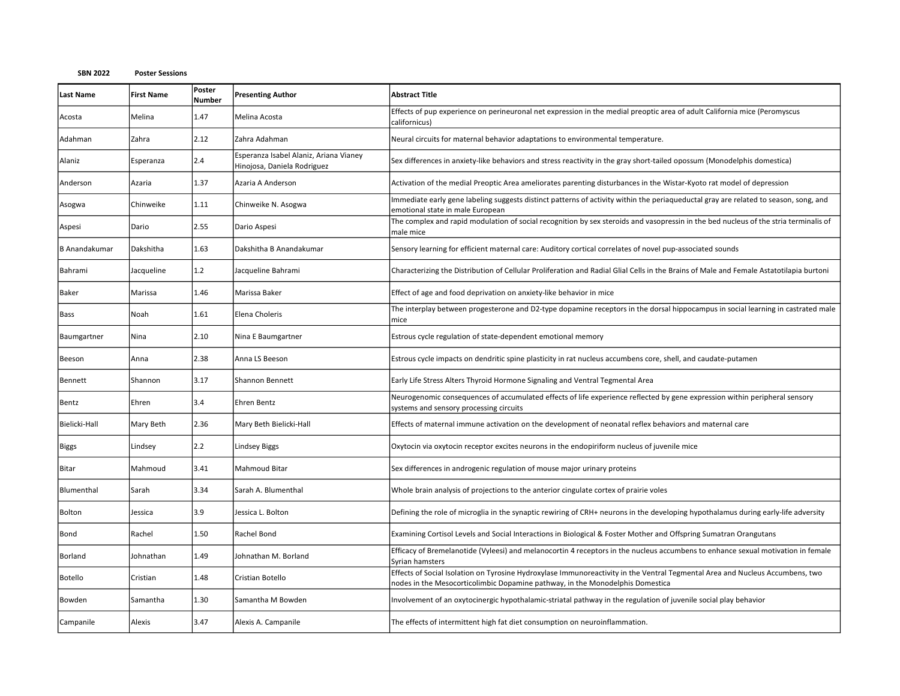| <b>Last Name</b>     | <b>First Name</b> | Poster<br><b>Number</b> | <b>Presenting Author</b>                                              | <b>Abstract Title</b>                                                                                                                                                                                          |
|----------------------|-------------------|-------------------------|-----------------------------------------------------------------------|----------------------------------------------------------------------------------------------------------------------------------------------------------------------------------------------------------------|
| Acosta               | Melina            | 1.47                    | Melina Acosta                                                         | Effects of pup experience on perineuronal net expression in the medial preoptic area of adult California mice (Peromyscus<br>californicus)                                                                     |
| Adahman              | Zahra             | 2.12                    | Zahra Adahman                                                         | Neural circuits for maternal behavior adaptations to environmental temperature.                                                                                                                                |
| Alaniz               | Esperanza         | 2.4                     | Esperanza Isabel Alaniz, Ariana Vianey<br>Hinojosa, Daniela Rodriguez | Sex differences in anxiety-like behaviors and stress reactivity in the gray short-tailed opossum (Monodelphis domestica)                                                                                       |
| Anderson             | Azaria            | 1.37                    | Azaria A Anderson                                                     | Activation of the medial Preoptic Area ameliorates parenting disturbances in the Wistar-Kyoto rat model of depression                                                                                          |
| Asogwa               | Chinweike         | 1.11                    | Chinweike N. Asogwa                                                   | Immediate early gene labeling suggests distinct patterns of activity within the periaqueductal gray are related to season, song, and<br>emotional state in male European                                       |
| Aspesi               | Dario             | 2.55                    | Dario Aspesi                                                          | The complex and rapid modulation of social recognition by sex steroids and vasopressin in the bed nucleus of the stria terminalis of<br>male mice                                                              |
| <b>B</b> Anandakumar | Dakshitha         | 1.63                    | Dakshitha B Anandakumar                                               | Sensory learning for efficient maternal care: Auditory cortical correlates of novel pup-associated sounds                                                                                                      |
| Bahrami              | Jacqueline        | 1.2                     | Jacqueline Bahrami                                                    | Characterizing the Distribution of Cellular Proliferation and Radial Glial Cells in the Brains of Male and Female Astatotilapia burtoni                                                                        |
| Baker                | Marissa           | 1.46                    | Marissa Baker                                                         | Effect of age and food deprivation on anxiety-like behavior in mice                                                                                                                                            |
| Bass                 | Noah              | 1.61                    | Elena Choleris                                                        | The interplay between progesterone and D2-type dopamine receptors in the dorsal hippocampus in social learning in castrated male<br>mice                                                                       |
| Baumgartner          | Nina              | 2.10                    | Nina E Baumgartner                                                    | Estrous cycle regulation of state-dependent emotional memory                                                                                                                                                   |
| Beeson               | Anna              | 2.38                    | Anna LS Beeson                                                        | Estrous cycle impacts on dendritic spine plasticity in rat nucleus accumbens core, shell, and caudate-putamen                                                                                                  |
| Bennett              | Shannon           | 3.17                    | Shannon Bennett                                                       | Early Life Stress Alters Thyroid Hormone Signaling and Ventral Tegmental Area                                                                                                                                  |
| Bentz                | Ehren             | 3.4                     | Ehren Bentz                                                           | Neurogenomic consequences of accumulated effects of life experience reflected by gene expression within peripheral sensory<br>systems and sensory processing circuits                                          |
| Bielicki-Hall        | Mary Beth         | 2.36                    | Mary Beth Bielicki-Hall                                               | Effects of maternal immune activation on the development of neonatal reflex behaviors and maternal care                                                                                                        |
| Biggs                | Lindsey           | 2.2                     | Lindsey Biggs                                                         | Oxytocin via oxytocin receptor excites neurons in the endopiriform nucleus of juvenile mice                                                                                                                    |
| <b>Bitar</b>         | Mahmoud           | 3.41                    | Mahmoud Bitar                                                         | Sex differences in androgenic regulation of mouse major urinary proteins                                                                                                                                       |
| Blumenthal           | Sarah             | 3.34                    | Sarah A. Blumenthal                                                   | Whole brain analysis of projections to the anterior cingulate cortex of prairie voles                                                                                                                          |
| <b>Bolton</b>        | Jessica           | 3.9                     | Jessica L. Bolton                                                     | Defining the role of microglia in the synaptic rewiring of CRH+ neurons in the developing hypothalamus during early-life adversity                                                                             |
| Bond                 | Rachel            | 1.50                    | Rachel Bond                                                           | Examining Cortisol Levels and Social Interactions in Biological & Foster Mother and Offspring Sumatran Orangutans                                                                                              |
| Borland              | Johnathan         | 1.49                    | Johnathan M. Borland                                                  | Efficacy of Bremelanotide (Vyleesi) and melanocortin 4 receptors in the nucleus accumbens to enhance sexual motivation in female<br>Syrian hamsters                                                            |
| <b>Botello</b>       | Cristian          | 1.48                    | Cristian Botello                                                      | Effects of Social Isolation on Tyrosine Hydroxylase Immunoreactivity in the Ventral Tegmental Area and Nucleus Accumbens, two<br>nodes in the Mesocorticolimbic Dopamine pathway, in the Monodelphis Domestica |
| Bowden               | Samantha          | 1.30                    | Samantha M Bowden                                                     | Involvement of an oxytocinergic hypothalamic-striatal pathway in the regulation of juvenile social play behavior                                                                                               |
| Campanile            | Alexis            | 3.47                    | Alexis A. Campanile                                                   | The effects of intermittent high fat diet consumption on neuroinflammation.                                                                                                                                    |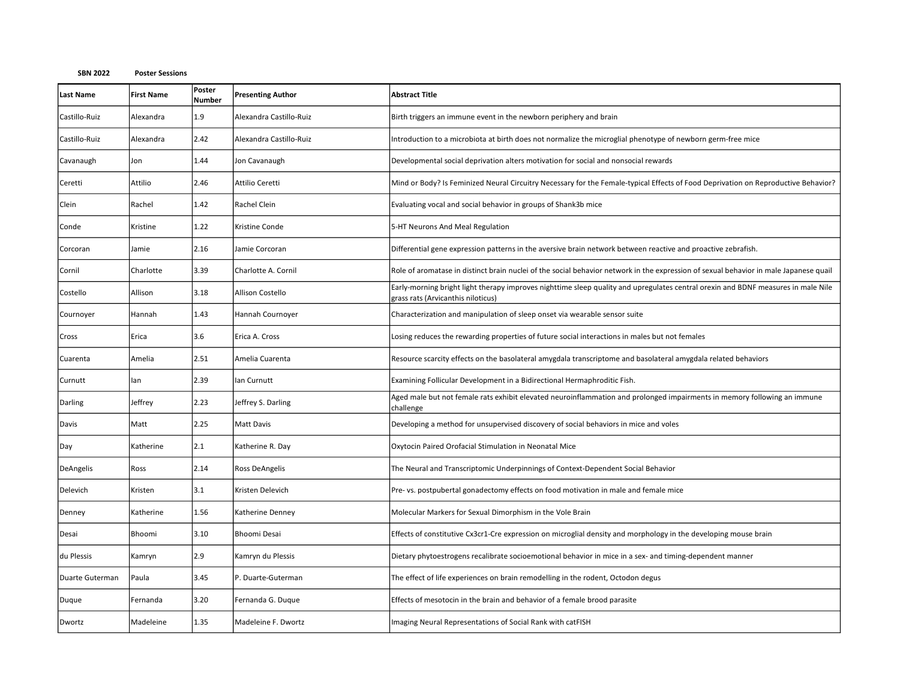| <b>Last Name</b> | <b>First Name</b> | Poster<br><b>Number</b> | <b>Presenting Author</b> | <b>Abstract Title</b>                                                                                                                                                   |
|------------------|-------------------|-------------------------|--------------------------|-------------------------------------------------------------------------------------------------------------------------------------------------------------------------|
| Castillo-Ruiz    | Alexandra         | 1.9                     | Alexandra Castillo-Ruiz  | Birth triggers an immune event in the newborn periphery and brain                                                                                                       |
| Castillo-Ruiz    | Alexandra         | 2.42                    | Alexandra Castillo-Ruiz  | Introduction to a microbiota at birth does not normalize the microglial phenotype of newborn germ-free mice                                                             |
| Cavanaugh        | Jon               | 1.44                    | Jon Cavanaugh            | Developmental social deprivation alters motivation for social and nonsocial rewards                                                                                     |
| Ceretti          | Attilio           | 2.46                    | Attilio Ceretti          | Mind or Body? Is Feminized Neural Circuitry Necessary for the Female-typical Effects of Food Deprivation on Reproductive Behavior?                                      |
| Clein            | Rachel            | 1.42                    | Rachel Clein             | Evaluating vocal and social behavior in groups of Shank3b mice                                                                                                          |
| Conde            | Kristine          | 1.22                    | Kristine Conde           | 5-HT Neurons And Meal Regulation                                                                                                                                        |
| Corcoran         | Jamie             | 2.16                    | Jamie Corcoran           | Differential gene expression patterns in the aversive brain network between reactive and proactive zebrafish.                                                           |
| Cornil           | Charlotte         | 3.39                    | Charlotte A. Cornil      | Role of aromatase in distinct brain nuclei of the social behavior network in the expression of sexual behavior in male Japanese quail                                   |
| Costello         | Allison           | 3.18                    | Allison Costello         | Early-morning bright light therapy improves nighttime sleep quality and upregulates central orexin and BDNF measures in male Nile<br>grass rats (Arvicanthis niloticus) |
| Cournoyer        | Hannah            | 1.43                    | Hannah Cournoyer         | Characterization and manipulation of sleep onset via wearable sensor suite                                                                                              |
| Cross            | Erica             | 3.6                     | Erica A. Cross           | Losing reduces the rewarding properties of future social interactions in males but not females                                                                          |
| Cuarenta         | Amelia            | 2.51                    | Amelia Cuarenta          | Resource scarcity effects on the basolateral amygdala transcriptome and basolateral amygdala related behaviors                                                          |
| Curnutt          | lan               | 2.39                    | lan Curnutt              | Examining Follicular Development in a Bidirectional Hermaphroditic Fish.                                                                                                |
| Darling          | Jeffrey           | 2.23                    | Jeffrey S. Darling       | Aged male but not female rats exhibit elevated neuroinflammation and prolonged impairments in memory following an immune<br>challenge                                   |
| Davis            | Matt              | 2.25                    | Matt Davis               | Developing a method for unsupervised discovery of social behaviors in mice and voles                                                                                    |
| Day              | Katherine         | 2.1                     | Katherine R. Day         | Oxytocin Paired Orofacial Stimulation in Neonatal Mice                                                                                                                  |
| DeAngelis        | Ross              | 2.14                    | Ross DeAngelis           | The Neural and Transcriptomic Underpinnings of Context-Dependent Social Behavior                                                                                        |
| Delevich         | Kristen           | 3.1                     | Kristen Delevich         | Pre- vs. postpubertal gonadectomy effects on food motivation in male and female mice                                                                                    |
| Denney           | Katherine         | 1.56                    | Katherine Denney         | Molecular Markers for Sexual Dimorphism in the Vole Brain                                                                                                               |
| Desai            | Bhoomi            | 3.10                    | Bhoomi Desai             | Effects of constitutive Cx3cr1-Cre expression on microglial density and morphology in the developing mouse brain                                                        |
| du Plessis       | Kamryn            | 2.9                     | Kamryn du Plessis        | Dietary phytoestrogens recalibrate socioemotional behavior in mice in a sex- and timing-dependent manner                                                                |
| Duarte Guterman  | Paula             | 3.45                    | P. Duarte-Guterman       | The effect of life experiences on brain remodelling in the rodent, Octodon degus                                                                                        |
| Duque            | Fernanda          | 3.20                    | Fernanda G. Duque        | Effects of mesotocin in the brain and behavior of a female brood parasite                                                                                               |
| Dwortz           | Madeleine         | 1.35                    | Madeleine F. Dwortz      | Imaging Neural Representations of Social Rank with catFISH                                                                                                              |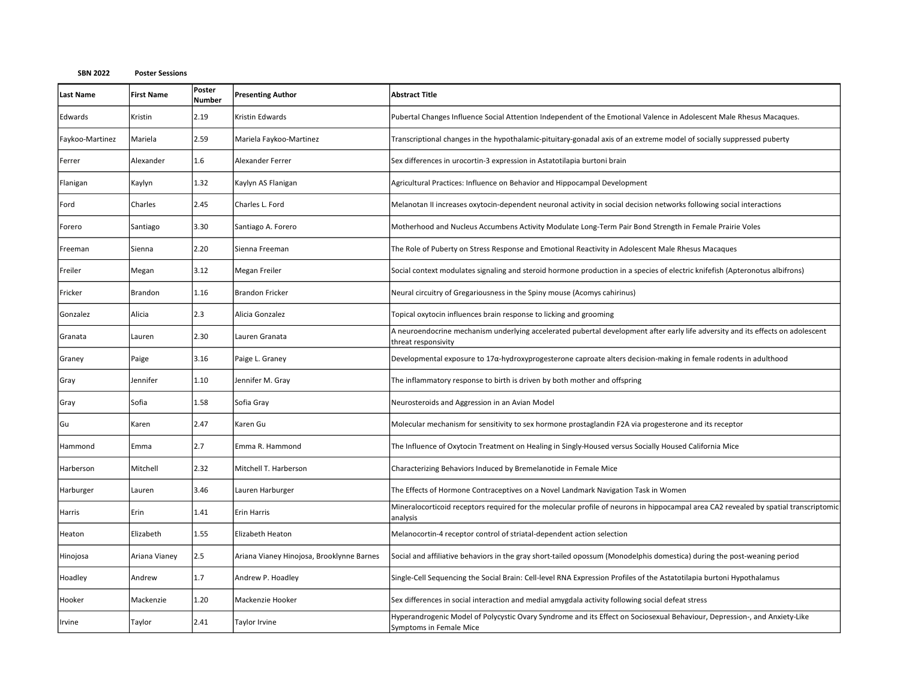| <b>Last Name</b> | <b>First Name</b> | Poster<br>Number | <b>Presenting Author</b>                  | <b>Abstract Title</b>                                                                                                                                  |
|------------------|-------------------|------------------|-------------------------------------------|--------------------------------------------------------------------------------------------------------------------------------------------------------|
| Edwards          | Kristin           | 2.19             | Kristin Edwards                           | Pubertal Changes Influence Social Attention Independent of the Emotional Valence in Adolescent Male Rhesus Macaques.                                   |
| Faykoo-Martinez  | Mariela           | 2.59             | Mariela Faykoo-Martinez                   | Transcriptional changes in the hypothalamic-pituitary-gonadal axis of an extreme model of socially suppressed puberty                                  |
| Ferrer           | Alexander         | 1.6              | Alexander Ferrer                          | Sex differences in urocortin-3 expression in Astatotilapia burtoni brain                                                                               |
| Flanigan         | Kaylyn            | 1.32             | Kaylyn AS Flanigan                        | Agricultural Practices: Influence on Behavior and Hippocampal Development                                                                              |
| Ford             | Charles           | 2.45             | Charles L. Ford                           | Melanotan II increases oxytocin-dependent neuronal activity in social decision networks following social interactions                                  |
| Forero           | Santiago          | 3.30             | Santiago A. Forero                        | Motherhood and Nucleus Accumbens Activity Modulate Long-Term Pair Bond Strength in Female Prairie Voles                                                |
| Freeman          | Sienna            | 2.20             | Sienna Freeman                            | The Role of Puberty on Stress Response and Emotional Reactivity in Adolescent Male Rhesus Macaques                                                     |
| Freiler          | Megan             | 3.12             | Megan Freiler                             | Social context modulates signaling and steroid hormone production in a species of electric knifefish (Apteronotus albifrons)                           |
| Fricker          | Brandon           | 1.16             | <b>Brandon Fricker</b>                    | Neural circuitry of Gregariousness in the Spiny mouse (Acomys cahirinus)                                                                               |
| Gonzalez         | Alicia            | 2.3              | Alicia Gonzalez                           | Topical oxytocin influences brain response to licking and grooming                                                                                     |
| Granata          | Lauren            | 2.30             | Lauren Granata                            | A neuroendocrine mechanism underlying accelerated pubertal development after early life adversity and its effects on adolescent<br>threat responsivity |
| Graney           | Paige             | 3.16             | Paige L. Graney                           | Developmental exposure to 17 $\alpha$ -hydroxyprogesterone caproate alters decision-making in female rodents in adulthood                              |
| Gray             | Jennifer          | 1.10             | Jennifer M. Gray                          | The inflammatory response to birth is driven by both mother and offspring                                                                              |
| Gray             | Sofia             | 1.58             | Sofia Gray                                | Neurosteroids and Aggression in an Avian Model                                                                                                         |
| Gu               | Karen             | 2.47             | Karen Gu                                  | Molecular mechanism for sensitivity to sex hormone prostaglandin F2A via progesterone and its receptor                                                 |
| Hammond          | Emma              | 2.7              | Emma R. Hammond                           | The Influence of Oxytocin Treatment on Healing in Singly-Housed versus Socially Housed California Mice                                                 |
| Harberson        | Mitchell          | 2.32             | Mitchell T. Harberson                     | Characterizing Behaviors Induced by Bremelanotide in Female Mice                                                                                       |
| Harburger        | Lauren            | 3.46             | Lauren Harburger                          | The Effects of Hormone Contraceptives on a Novel Landmark Navigation Task in Women                                                                     |
| Harris           | Erin              | 1.41             | Erin Harris                               | Mineralocorticoid receptors required for the molecular profile of neurons in hippocampal area CA2 revealed by spatial transcriptomic<br>analysis       |
| Heaton           | Elizabeth         | 1.55             | Elizabeth Heaton                          | Melanocortin-4 receptor control of striatal-dependent action selection                                                                                 |
| Hinojosa         | Ariana Vianey     | 2.5              | Ariana Vianey Hinojosa, Brooklynne Barnes | Social and affiliative behaviors in the gray short-tailed opossum (Monodelphis domestica) during the post-weaning period                               |
| Hoadley          | Andrew            | 1.7              | Andrew P. Hoadley                         | Single-Cell Sequencing the Social Brain: Cell-level RNA Expression Profiles of the Astatotilapia burtoni Hypothalamus                                  |
| Hooker           | Mackenzie         | 1.20             | Mackenzie Hooker                          | Sex differences in social interaction and medial amygdala activity following social defeat stress                                                      |
| Irvine           | Taylor            | 2.41             | Taylor Irvine                             | Hyperandrogenic Model of Polycystic Ovary Syndrome and its Effect on Sociosexual Behaviour, Depression-, and Anxiety-Like<br>Symptoms in Female Mice   |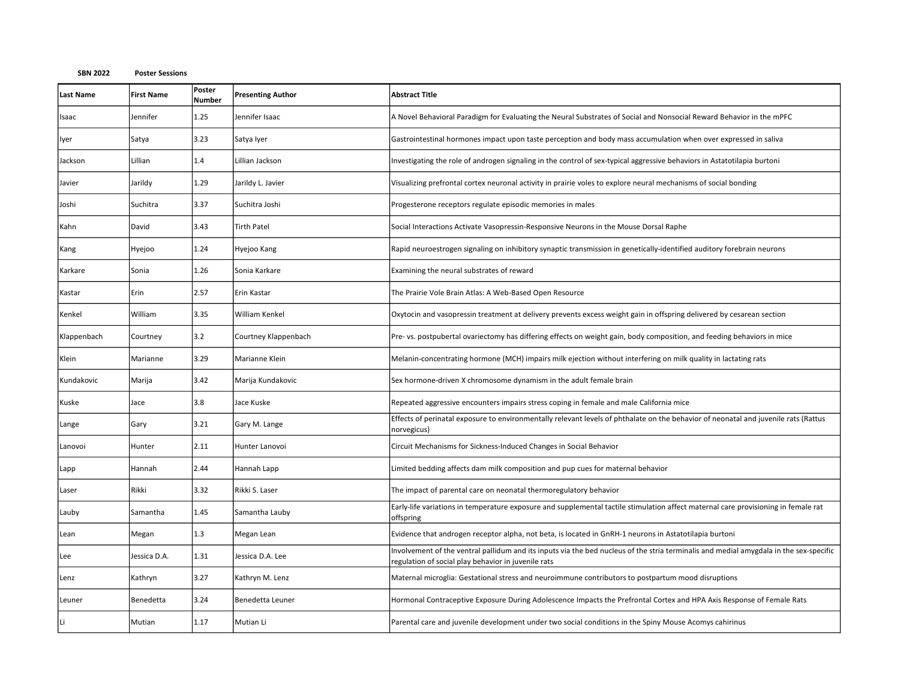| <b>Last Name</b> | <b>First Name</b> | Poster<br><b>Number</b> | <b>Presenting Author</b> | <b>Abstract Title</b>                                                                                                                                                                         |
|------------------|-------------------|-------------------------|--------------------------|-----------------------------------------------------------------------------------------------------------------------------------------------------------------------------------------------|
| Isaac            | Jennifer          | 1.25                    | Jennifer Isaac           | A Novel Behavioral Paradigm for Evaluating the Neural Substrates of Social and Nonsocial Reward Behavior in the mPFC                                                                          |
| lyer             | Satya             | 3.23                    | Satya Iyer               | Gastrointestinal hormones impact upon taste perception and body mass accumulation when over expressed in saliva                                                                               |
| Jackson          | Lillian           | 1.4                     | Lillian Jackson          | Investigating the role of androgen signaling in the control of sex-typical aggressive behaviors in Astatotilapia burtoni                                                                      |
| Javier           | Jarildy           | 1.29                    | Jarildy L. Javier        | Visualizing prefrontal cortex neuronal activity in prairie voles to explore neural mechanisms of social bonding                                                                               |
| Joshi            | Suchitra          | 3.37                    | Suchitra Joshi           | Progesterone receptors regulate episodic memories in males                                                                                                                                    |
| Kahn             | David             | 3.43                    | <b>Tirth Patel</b>       | Social Interactions Activate Vasopressin-Responsive Neurons in the Mouse Dorsal Raphe                                                                                                         |
| Kang             | Hyejoo            | 1.24                    | Hyejoo Kang              | Rapid neuroestrogen signaling on inhibitory synaptic transmission in genetically-identified auditory forebrain neurons                                                                        |
| Karkare          | Sonia             | 1.26                    | Sonia Karkare            | Examining the neural substrates of reward                                                                                                                                                     |
| Kastar           | Erin              | 2.57                    | Erin Kastar              | The Prairie Vole Brain Atlas: A Web-Based Open Resource                                                                                                                                       |
| Kenkel           | William           | 3.35                    | William Kenkel           | Oxytocin and vasopressin treatment at delivery prevents excess weight gain in offspring delivered by cesarean section                                                                         |
| Klappenbach      | Courtney          | 3.2                     | Courtney Klappenbach     | Pre- vs. postpubertal ovariectomy has differing effects on weight gain, body composition, and feeding behaviors in mice                                                                       |
| Klein            | Marianne          | 3.29                    | Marianne Klein           | Melanin-concentrating hormone (MCH) impairs milk ejection without interfering on milk quality in lactating rats                                                                               |
| Kundakovic       | Marija            | 3.42                    | Marija Kundakovic        | Sex hormone-driven X chromosome dynamism in the adult female brain                                                                                                                            |
| Kuske            | Jace              | 3.8                     | Jace Kuske               | Repeated aggressive encounters impairs stress coping in female and male California mice                                                                                                       |
| Lange            | Gary              | 3.21                    | Gary M. Lange            | Effects of perinatal exposure to environmentally relevant levels of phthalate on the behavior of neonatal and juvenile rats (Rattus<br>norvegicus)                                            |
| Lanovoi          | Hunter            | 2.11                    | Hunter Lanovoi           | Circuit Mechanisms for Sickness-Induced Changes in Social Behavior                                                                                                                            |
| Lapp             | Hannah            | 2.44                    | Hannah Lapp              | Limited bedding affects dam milk composition and pup cues for maternal behavior                                                                                                               |
| Laser            | Rikki             | 3.32                    | Rikki S. Laser           | The impact of parental care on neonatal thermoregulatory behavior                                                                                                                             |
| Lauby            | Samantha          | 1.45                    | Samantha Lauby           | Early-life variations in temperature exposure and supplemental tactile stimulation affect maternal care provisioning in female rat<br>offspring                                               |
| Lean             | Megan             | 1.3                     | Megan Lean               | Evidence that androgen receptor alpha, not beta, is located in GnRH-1 neurons in Astatotilapia burtoni                                                                                        |
| Lee              | Jessica D.A.      | 1.31                    | Jessica D.A. Lee         | Involvement of the ventral pallidum and its inputs via the bed nucleus of the stria terminalis and medial amygdala in the sex-specific<br>regulation of social play behavior in juvenile rats |
| Lenz             | Kathryn           | 3.27                    | Kathryn M. Lenz          | Maternal microglia: Gestational stress and neuroimmune contributors to postpartum mood disruptions                                                                                            |
| Leuner           | Benedetta         | 3.24                    | Benedetta Leuner         | Hormonal Contraceptive Exposure During Adolescence Impacts the Prefrontal Cortex and HPA Axis Response of Female Rats                                                                         |
|                  | Mutian            | 1.17                    | Mutian Li                | Parental care and juvenile development under two social conditions in the Spiny Mouse Acomys cahirinus                                                                                        |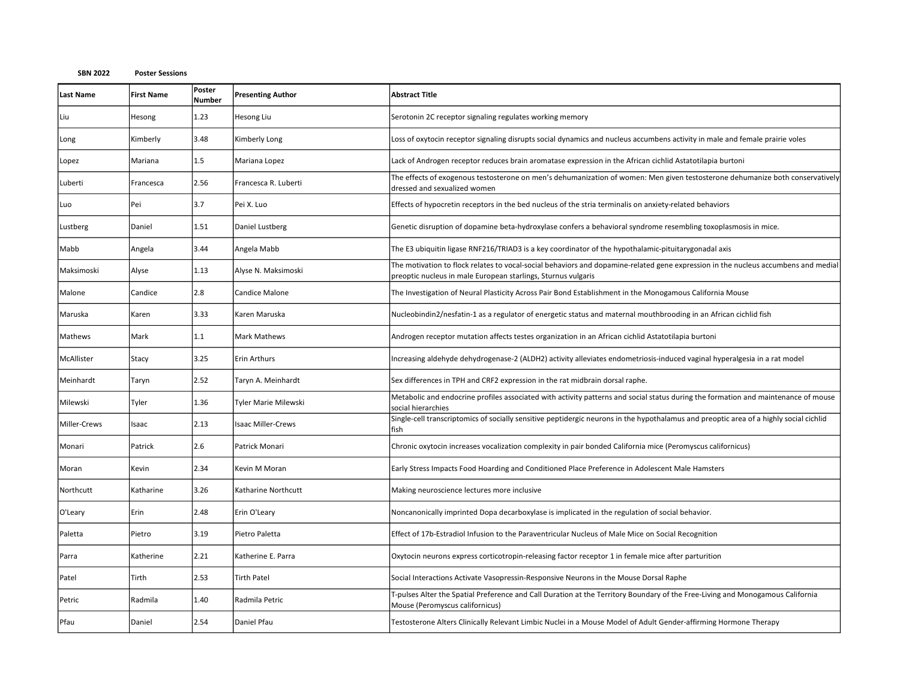| <b>Last Name</b> | <b>First Name</b> | Poster<br><b>Number</b> | <b>Presenting Author</b>  | <b>Abstract Title</b>                                                                                                                                                                               |
|------------------|-------------------|-------------------------|---------------------------|-----------------------------------------------------------------------------------------------------------------------------------------------------------------------------------------------------|
| Liu              | Hesong            | 1.23                    | Hesong Liu                | Serotonin 2C receptor signaling regulates working memory                                                                                                                                            |
| Long             | Kimberly          | 3.48                    | Kimberly Long             | Loss of oxytocin receptor signaling disrupts social dynamics and nucleus accumbens activity in male and female prairie voles                                                                        |
| Lopez            | Mariana           | 1.5                     | Mariana Lopez             | Lack of Androgen receptor reduces brain aromatase expression in the African cichlid Astatotilapia burtoni                                                                                           |
| Luberti          | Francesca         | 2.56                    | Francesca R. Luberti      | The effects of exogenous testosterone on men's dehumanization of women: Men given testosterone dehumanize both conservatively<br>dressed and sexualized women                                       |
| Luo              | Pei               | 3.7                     | Pei X. Luo                | Effects of hypocretin receptors in the bed nucleus of the stria terminalis on anxiety-related behaviors                                                                                             |
| Lustberg         | Daniel            | 1.51                    | Daniel Lustberg           | Genetic disruption of dopamine beta-hydroxylase confers a behavioral syndrome resembling toxoplasmosis in mice.                                                                                     |
| Mabb             | Angela            | 3.44                    | Angela Mabb               | The E3 ubiquitin ligase RNF216/TRIAD3 is a key coordinator of the hypothalamic-pituitarygonadal axis                                                                                                |
| Maksimoski       | Alyse             | 1.13                    | Alyse N. Maksimoski       | The motivation to flock relates to vocal-social behaviors and dopamine-related gene expression in the nucleus accumbens and medial<br>preoptic nucleus in male European starlings, Sturnus vulgaris |
| Malone           | Candice           | 2.8                     | Candice Malone            | The Investigation of Neural Plasticity Across Pair Bond Establishment in the Monogamous California Mouse                                                                                            |
| Maruska          | Karen             | 3.33                    | Karen Maruska             | Nucleobindin2/nesfatin-1 as a regulator of energetic status and maternal mouthbrooding in an African cichlid fish                                                                                   |
| Mathews          | Mark              | 1.1                     | <b>Mark Mathews</b>       | Androgen receptor mutation affects testes organization in an African cichlid Astatotilapia burtoni                                                                                                  |
| McAllister       | Stacy             | 3.25                    | <b>Erin Arthurs</b>       | Increasing aldehyde dehydrogenase-2 (ALDH2) activity alleviates endometriosis-induced vaginal hyperalgesia in a rat model                                                                           |
| Meinhardt        | Taryn             | 2.52                    | Taryn A. Meinhardt        | Sex differences in TPH and CRF2 expression in the rat midbrain dorsal raphe.                                                                                                                        |
| Milewski         | Tyler             | 1.36                    | Tyler Marie Milewski      | Metabolic and endocrine profiles associated with activity patterns and social status during the formation and maintenance of mouse<br>social hierarchies                                            |
| Miller-Crews     | Isaac             | 2.13                    | <b>Isaac Miller-Crews</b> | Single-cell transcriptomics of socially sensitive peptidergic neurons in the hypothalamus and preoptic area of a highly social cichlid<br>fish                                                      |
| Monari           | Patrick           | 2.6                     | Patrick Monari            | Chronic oxytocin increases vocalization complexity in pair bonded California mice (Peromyscus californicus)                                                                                         |
| Moran            | Kevin             | 2.34                    | Kevin M Moran             | Early Stress Impacts Food Hoarding and Conditioned Place Preference in Adolescent Male Hamsters                                                                                                     |
| Northcutt        | Katharine         | 3.26                    | Katharine Northcutt       | Making neuroscience lectures more inclusive                                                                                                                                                         |
| O'Leary          | Erin              | 2.48                    | Erin O'Leary              | Noncanonically imprinted Dopa decarboxylase is implicated in the regulation of social behavior.                                                                                                     |
| Paletta          | Pietro            | 3.19                    | Pietro Paletta            | Effect of 17b-Estradiol Infusion to the Paraventricular Nucleus of Male Mice on Social Recognition                                                                                                  |
| Parra            | Katherine         | 2.21                    | Katherine E. Parra        | Oxytocin neurons express corticotropin-releasing factor receptor 1 in female mice after parturition                                                                                                 |
| Patel            | Tirth             | 2.53                    | <b>Tirth Patel</b>        | Social Interactions Activate Vasopressin-Responsive Neurons in the Mouse Dorsal Raphe                                                                                                               |
| Petric           | Radmila           | 1.40                    | Radmila Petric            | T-pulses Alter the Spatial Preference and Call Duration at the Territory Boundary of the Free-Living and Monogamous California<br>Mouse (Peromyscus californicus)                                   |
| Pfau             | Daniel            | 2.54                    | Daniel Pfau               | Testosterone Alters Clinically Relevant Limbic Nuclei in a Mouse Model of Adult Gender-affirming Hormone Therapy                                                                                    |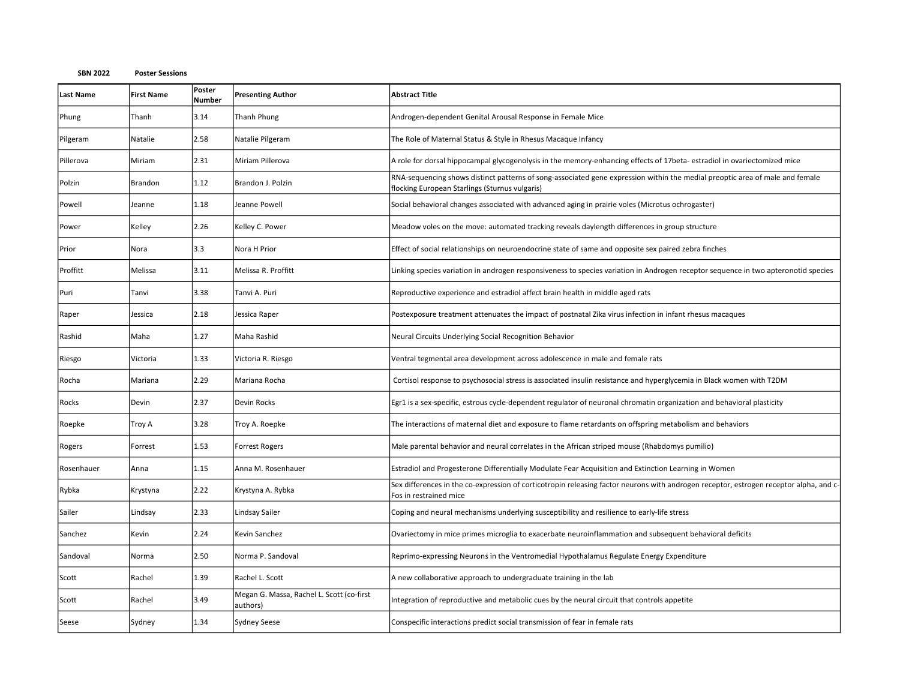| <b>Last Name</b> | <b>First Name</b> | Poster<br><b>Number</b> | <b>Presenting Author</b>                              | <b>Abstract Title</b>                                                                                                                                                          |
|------------------|-------------------|-------------------------|-------------------------------------------------------|--------------------------------------------------------------------------------------------------------------------------------------------------------------------------------|
| Phung            | Thanh             | 3.14                    | Thanh Phung                                           | Androgen-dependent Genital Arousal Response in Female Mice                                                                                                                     |
| Pilgeram         | Natalie           | 2.58                    | Natalie Pilgeram                                      | The Role of Maternal Status & Style in Rhesus Macaque Infancy                                                                                                                  |
| Pillerova        | Miriam            | 2.31                    | Miriam Pillerova                                      | A role for dorsal hippocampal glycogenolysis in the memory-enhancing effects of 17beta-estradiol in ovariectomized mice                                                        |
| Polzin           | Brandon           | 1.12                    | Brandon J. Polzin                                     | RNA-sequencing shows distinct patterns of song-associated gene expression within the medial preoptic area of male and female<br>flocking European Starlings (Sturnus vulgaris) |
| Powell           | Jeanne            | 1.18                    | Jeanne Powell                                         | Social behavioral changes associated with advanced aging in prairie voles (Microtus ochrogaster)                                                                               |
| Power            | Kelley            | 2.26                    | Kelley C. Power                                       | Meadow voles on the move: automated tracking reveals daylength differences in group structure                                                                                  |
| Prior            | Nora              | 3.3                     | Nora H Prior                                          | Effect of social relationships on neuroendocrine state of same and opposite sex paired zebra finches                                                                           |
| Proffitt         | Melissa           | 3.11                    | Melissa R. Proffitt                                   | Linking species variation in androgen responsiveness to species variation in Androgen receptor sequence in two apteronotid species                                             |
| Puri             | Tanvi             | 3.38                    | Tanvi A. Puri                                         | Reproductive experience and estradiol affect brain health in middle aged rats                                                                                                  |
| Raper            | Jessica           | 2.18                    | Jessica Raper                                         | Postexposure treatment attenuates the impact of postnatal Zika virus infection in infant rhesus macaques                                                                       |
| Rashid           | Maha              | 1.27                    | Maha Rashid                                           | Neural Circuits Underlying Social Recognition Behavior                                                                                                                         |
| Riesgo           | Victoria          | 1.33                    | Victoria R. Riesgo                                    | Ventral tegmental area development across adolescence in male and female rats                                                                                                  |
| Rocha            | Mariana           | 2.29                    | Mariana Rocha                                         | Cortisol response to psychosocial stress is associated insulin resistance and hyperglycemia in Black women with T2DM                                                           |
| Rocks            | Devin             | 2.37                    | Devin Rocks                                           | Egr1 is a sex-specific, estrous cycle-dependent regulator of neuronal chromatin organization and behavioral plasticity                                                         |
| Roepke           | Troy A            | 3.28                    | Troy A. Roepke                                        | The interactions of maternal diet and exposure to flame retardants on offspring metabolism and behaviors                                                                       |
| Rogers           | Forrest           | 1.53                    | <b>Forrest Rogers</b>                                 | Male parental behavior and neural correlates in the African striped mouse (Rhabdomys pumilio)                                                                                  |
| Rosenhauer       | Anna              | 1.15                    | Anna M. Rosenhauer                                    | Estradiol and Progesterone Differentially Modulate Fear Acquisition and Extinction Learning in Women                                                                           |
| Rybka            | Krystyna          | 2.22                    | Krystyna A. Rybka                                     | Sex differences in the co-expression of corticotropin releasing factor neurons with androgen receptor, estrogen receptor alpha, and c-<br>Fos in restrained mice               |
| Sailer           | Lindsay           | 2.33                    | Lindsay Sailer                                        | Coping and neural mechanisms underlying susceptibility and resilience to early-life stress                                                                                     |
| Sanchez          | Kevin             | 2.24                    | Kevin Sanchez                                         | Ovariectomy in mice primes microglia to exacerbate neuroinflammation and subsequent behavioral deficits                                                                        |
| Sandoval         | Norma             | 2.50                    | Norma P. Sandoval                                     | Reprimo-expressing Neurons in the Ventromedial Hypothalamus Regulate Energy Expenditure                                                                                        |
| Scott            | Rachel            | 1.39                    | Rachel L. Scott                                       | A new collaborative approach to undergraduate training in the lab                                                                                                              |
| Scott            | Rachel            | 3.49                    | Megan G. Massa, Rachel L. Scott (co-first<br>authors) | Integration of reproductive and metabolic cues by the neural circuit that controls appetite                                                                                    |
| Seese            | Sydney            | 1.34                    | <b>Sydney Seese</b>                                   | Conspecific interactions predict social transmission of fear in female rats                                                                                                    |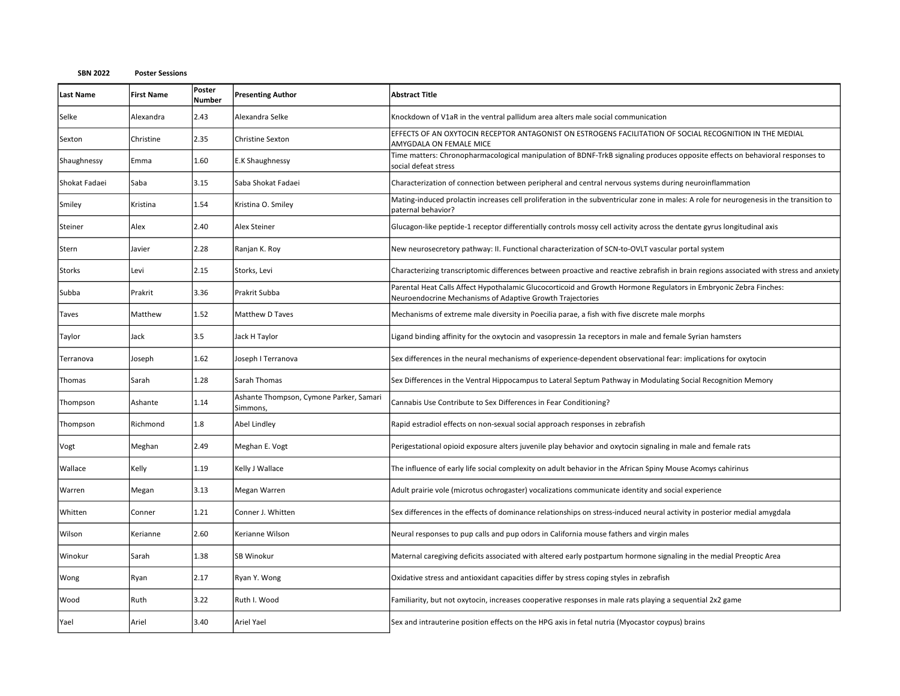| <b>Last Name</b> | <b>First Name</b> | Poster<br><b>Number</b> | <b>Presenting Author</b>                            | <b>Abstract Title</b>                                                                                                                                                         |
|------------------|-------------------|-------------------------|-----------------------------------------------------|-------------------------------------------------------------------------------------------------------------------------------------------------------------------------------|
| Selke            | Alexandra         | 2.43                    | Alexandra Selke                                     | Knockdown of V1aR in the ventral pallidum area alters male social communication                                                                                               |
| Sexton           | Christine         | 2.35                    | Christine Sexton                                    | EFFECTS OF AN OXYTOCIN RECEPTOR ANTAGONIST ON ESTROGENS FACILITATION OF SOCIAL RECOGNITION IN THE MEDIAL<br>AMYGDALA ON FEMALE MICE                                           |
| Shaughnessy      | Emma              | 1.60                    | E.K Shaughnessy                                     | Time matters: Chronopharmacological manipulation of BDNF-TrkB signaling produces opposite effects on behavioral responses to<br>social defeat stress                          |
| Shokat Fadaei    | Saba              | 3.15                    | Saba Shokat Fadaei                                  | Characterization of connection between peripheral and central nervous systems during neuroinflammation                                                                        |
| Smiley           | Kristina          | 1.54                    | Kristina O. Smiley                                  | Mating-induced prolactin increases cell proliferation in the subventricular zone in males: A role for neurogenesis in the transition to<br>paternal behavior?                 |
| Steiner          | Alex              | 2.40                    | Alex Steiner                                        | Glucagon-like peptide-1 receptor differentially controls mossy cell activity across the dentate gyrus longitudinal axis                                                       |
| Stern            | Javier            | 2.28                    | Ranjan K. Roy                                       | New neurosecretory pathway: II. Functional characterization of SCN-to-OVLT vascular portal system                                                                             |
| <b>Storks</b>    | Levi              | 2.15                    | Storks, Levi                                        | Characterizing transcriptomic differences between proactive and reactive zebrafish in brain regions associated with stress and anxiety                                        |
| Subba            | Prakrit           | 3.36                    | Prakrit Subba                                       | Parental Heat Calls Affect Hypothalamic Glucocorticoid and Growth Hormone Regulators in Embryonic Zebra Finches:<br>Neuroendocrine Mechanisms of Adaptive Growth Trajectories |
| Taves            | Matthew           | 1.52                    | Matthew D Taves                                     | Mechanisms of extreme male diversity in Poecilia parae, a fish with five discrete male morphs                                                                                 |
| Taylor           | Jack              | 3.5                     | Jack H Taylor                                       | Ligand binding affinity for the oxytocin and vasopressin 1a receptors in male and female Syrian hamsters                                                                      |
| Terranova        | Joseph            | 1.62                    | Joseph I Terranova                                  | Sex differences in the neural mechanisms of experience-dependent observational fear: implications for oxytocin                                                                |
| Thomas           | Sarah             | 1.28                    | Sarah Thomas                                        | Sex Differences in the Ventral Hippocampus to Lateral Septum Pathway in Modulating Social Recognition Memory                                                                  |
| Thompson         | Ashante           | 1.14                    | Ashante Thompson, Cymone Parker, Samari<br>Simmons, | Cannabis Use Contribute to Sex Differences in Fear Conditioning?                                                                                                              |
| Thompson         | Richmond          | 1.8                     | Abel Lindley                                        | Rapid estradiol effects on non-sexual social approach responses in zebrafish                                                                                                  |
| Vogt             | Meghan            | 2.49                    | Meghan E. Vogt                                      | Perigestational opioid exposure alters juvenile play behavior and oxytocin signaling in male and female rats                                                                  |
| Wallace          | Kelly             | 1.19                    | Kelly J Wallace                                     | The influence of early life social complexity on adult behavior in the African Spiny Mouse Acomys cahirinus                                                                   |
| Warren           | Megan             | 3.13                    | Megan Warren                                        | Adult prairie vole (microtus ochrogaster) vocalizations communicate identity and social experience                                                                            |
| Whitten          | Conner            | 1.21                    | Conner J. Whitten                                   | Sex differences in the effects of dominance relationships on stress-induced neural activity in posterior medial amygdala                                                      |
| Wilson           | Kerianne          | 2.60                    | Kerianne Wilson                                     | Neural responses to pup calls and pup odors in California mouse fathers and virgin males                                                                                      |
| Winokur          | Sarah             | 1.38                    | SB Winokur                                          | Maternal caregiving deficits associated with altered early postpartum hormone signaling in the medial Preoptic Area                                                           |
| Wong             | Ryan              | 2.17                    | Ryan Y. Wong                                        | Oxidative stress and antioxidant capacities differ by stress coping styles in zebrafish                                                                                       |
| Wood             | Ruth              | 3.22                    | Ruth I. Wood                                        | Familiarity, but not oxytocin, increases cooperative responses in male rats playing a sequential 2x2 game                                                                     |
| Yael             | Ariel             | 3.40                    | Ariel Yael                                          | Sex and intrauterine position effects on the HPG axis in fetal nutria (Myocastor coypus) brains                                                                               |